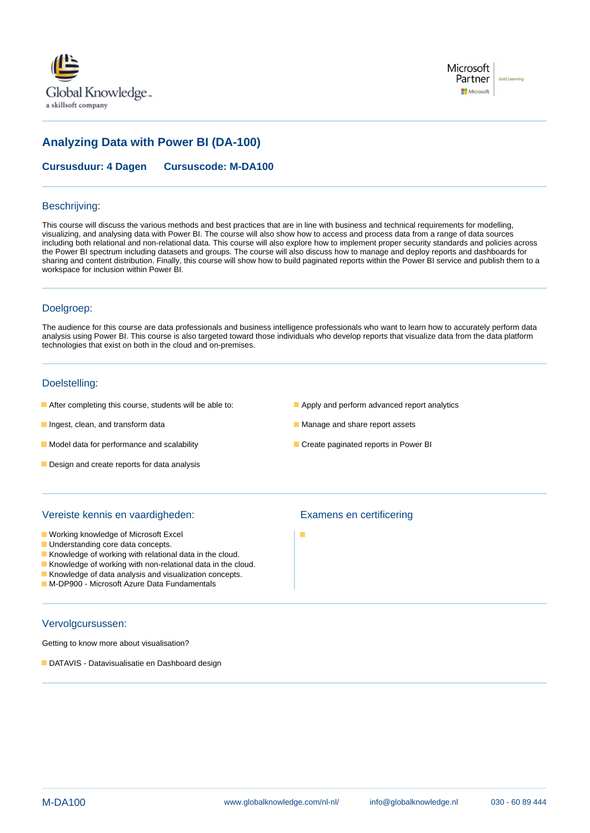



# **Analyzing Data with Power BI (DA-100)**

**Cursusduur: 4 Dagen Cursuscode: M-DA100**

#### Beschrijving:

This course will discuss the various methods and best practices that are in line with business and technical requirements for modelling, visualizing, and analysing data with Power BI. The course will also show how to access and process data from a range of data sources including both relational and non-relational data. This course will also explore how to implement proper security standards and policies across the Power BI spectrum including datasets and groups. The course will also discuss how to manage and deploy reports and dashboards for sharing and content distribution. Finally, this course will show how to build paginated reports within the Power BI service and publish them to a workspace for inclusion within Power BI.

#### Doelgroep:

The audience for this course are data professionals and business intelligence professionals who want to learn how to accurately perform data analysis using Power BI. This course is also targeted toward those individuals who develop reports that visualize data from the data platform technologies that exist on both in the cloud and on-premises.

## Doelstelling:

- After completing this course, students will be able to: **Apply and perform advanced report analytics**
- Ingest, clean, and transform data Manage and share report assets
- $\blacksquare$  Model data for performance and scalability  $\blacksquare$  Create paginated reports in Power BI
- Design and create reports for data analysis
- 
- 
- 

#### Vereiste kennis en vaardigheden: Examens en certificering

- **Working knowledge of Microsoft Excel**
- **Understanding core data concepts.**
- Knowledge of working with relational data in the cloud.
- Knowledge of working with non-relational data in the cloud.
- Knowledge of data analysis and visualization concepts.
- **M-DP900 Microsoft Azure Data Fundamentals**

# Vervolgcursussen:

Getting to know more about visualisation?

**DATAVIS - Datavisualisatie en Dashboard design** 

п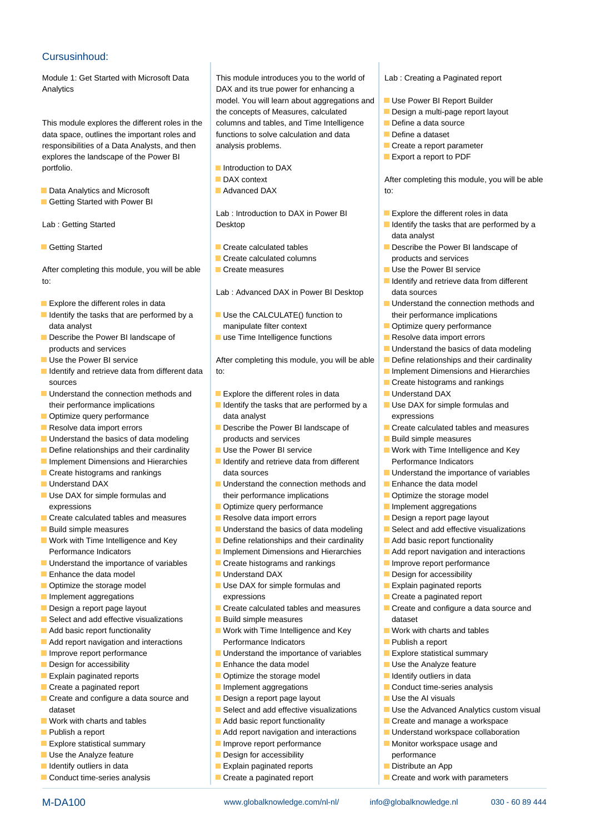### Cursusinhoud:

Module 1: Get Started with Microsoft Data This module introduces you to the world of Lab: Creating a Paginated report Analytics Analytics Analytics **DAX** and its true power for enhancing a

data space, outlines the important roles and  $\Box$  functions to solve calculation and data  $\Box$  Define a dataset responsibilities of a Data Analysts, and then analysis problems. The analysis problems and the analysis problems. explores the landscape of the Power BI line Export a report to PDF portfolio. **Introduction to DAX** 

- Data Analytics and Microsoft Advanced DAX **Advanced DAX** to:
- Getting Started with Power BI

After completing this module, you will be able  $\Box$  Create measures  $\Box$  Use the Power BI service to: International contract to the set of the set of the set of the set of the set of the set of the set of the set of the set of the set of the set of the set of the set of the set of the set of the set of the set of the s

- 
- I Identify the tasks that are performed by a Use the CALCULATE() function to their performance implications data analyst **manipulate filter context Context Definitive** query performance
- Describe the Power BI landscape of **use Time Intelligence functions** Resolve data import errors products and services **Understand the basics of data modeling** versions of the Understand the basics of data modeling
- 
- sources and rankings and research in the Create histograms and rankings and rankings
- Understand the connection methods and Explore the different roles in data Understand DAX
- 
- 
- Understand the basics of data modeling products and services Build simple measures
- Define relationships and their cardinality Use the Power BI service Work with Time Intelligence and Key
- 
- 
- 
- expressions **Optimize query performance Implement aggregations Implement aggregations**
- **Create calculated tables and measures** Resolve data import errors **Resolve and American** Design a report page layout
- 
- 
- Understand the importance of variables Interval Decreate histograms and rankings Interval Decreated Improve report performance
- **Enhance the data model Community Community** Christmas **DAX** Design for accessibility
- 
- 
- 
- **Select and add effective visualizations** Build simple measures and added at a dataset
- 
- 
- 
- 
- 
- 
- $\Box$  Create and configure a data source and  $\Box$  Design a report page layout  $\Box$  Use the AI visuals dataset Select and add effective visualizations USE Use the Advanced Analytics custom visual
- $\blacksquare$  Work with charts and tables  $\blacksquare$  Add basic report functionality  $\blacksquare$  Create and manage a workspace
- 
- Explore statistical summary  $\Box$  Improve report performance  $\Box$  Monitor workspace usage and
- Use the Analyze feature **Design for accessibility and Design for accessibility** performance
- 
- Conduct time-series analysis **Create a paginated report** Create and work with parameters

model. You will learn about aggregations and Use Power BI Report Builder the concepts of Measures, calculated **Design a multi-page report layout** This module explores the different roles in the columns and tables, and Time Intelligence **Define a data source** 

- 
- 
- 

- 
- 
- 

Lab : Advanced DAX in Power BI Desktop data sources

- 
- 

Use the Power BI service **After completing this module, you will be able** Define relationships and their cardinality Internative data from different data to: Internative many control in the Implement Dimensions and Hierarchies

- 
- their performance implications **ID** Identify the tasks that are performed by a Use DAX for simple formulas and **Optimize query performance** and the data analyst expressions and expressions
- Resolve data import errors **Describe the Power BI landscape of Create calculated tables and measures** 
	-
- Implement Dimensions and Hierarchies Indicators Indicators Indicators Indicators Indicators  $\Box$  Create histograms and rankings data sources  $\Box$  Understand the importance of variables
- **Understand DAX** Understand the connection methods and  $\blacksquare$  Enhance the data model  $\blacksquare$  Use DAX for simple formulas and their performance implications  $\blacksquare$  Optimize the storage model
	-
	-
- Build simple measures **Understand the basics of data modeling Interval Select and add effective visualizations**
- Work with Time Intelligence and Key **Define relationships and their cardinality Add basic report functionality** 
	- Performance Indicators **Implement Dimensions and Hierarchies** Add report navigation and interactions
		-
		-
- Optimize the storage model Use DAX for simple formulas and Explain paginated reports **Implement aggregations and increase a paginated report of the system of the expressions of the create a paginated report**
- Design a report page layout **Create calculated tables and measures** Create and configure a data source and
	-
- $\blacksquare$  Add basic report functionality  $\blacksquare$  Work with Time Intelligence and Key  $\blacksquare$  Work with charts and tables **Add report navigation and interactions** Performance Indicators **Publish a report** Publish a report
- Improve report performance <br>■ Understand the importance of variables Explore statistical summary
- **Design for accessibility Enhance the data model Design for accessibility Design for accessibility Design in Enhance the data model Design in USE** USE the Analyze feature
- **Explain paginated reports Optimize the storage model Interval Instance In data** Indians in data
- Create a paginated report **IMPLEM** Implement aggregations **IMPLEM** Conduct time-series analysis
	-
	-
	-
- **Publish a report Addition** Add report navigation and interactions **Understand workspace collaboration**

M-DA100 www.globalknowledge.com/nl-nl/ info@globalknowledge.nl 030 - 60 89 444

- 
- 
- **IDENTIFY IDENTIFY IDENTIFY IS A CONSUMING THE EXPLAIN PAGINATIFY CONSUMING THE CONSUMING THE CONSUMING THE EXPLAIN PAGINATIFY IDENTIFY INC.** 
	-
- 
- 
- 
- 
- 
- 
- 

**DAX context** After completing this module, you will be able

- Lab : Introduction to DAX in Power BI  $\Box$  Explore the different roles in data
- Lab : Getting Started **Desktop** Desktop Intervention Intervention Intervention Intervention Intervention Intervention Intervention Intervention Intervention Intervention Intervention Intervention Intervention Intervention line line data analyst
- Getting Started Create calculated tables Describe the Power BI landscape of Create calculated columns **products** and services
	-
	-
- **Explore the different roles in data** line Understand the Connection methods and  $\blacksquare$  Understand the connection methods and
	-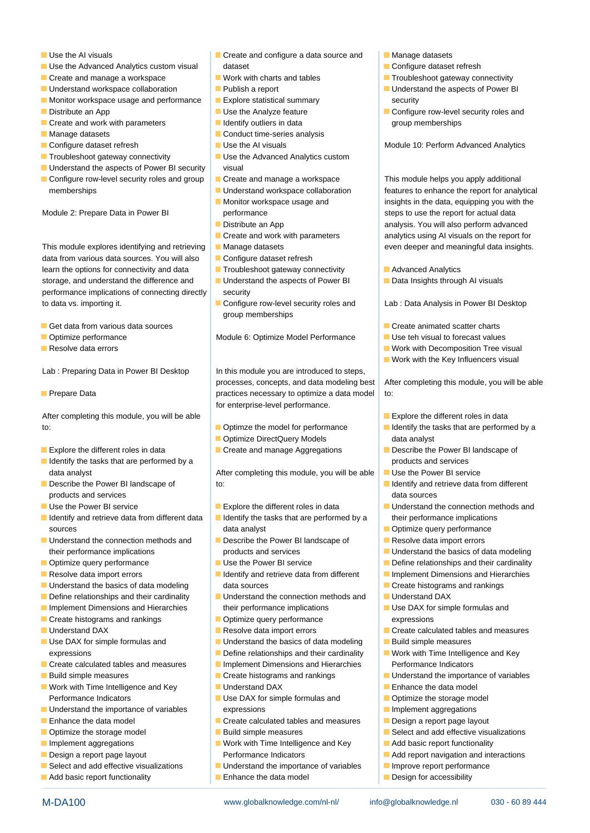- 
- Use the Advanced Analytics custom visual dataset can determine the Configure dataset refresh
- 
- 
- **Monitor workspace usage and performance EXPLORE SECURITY SECURITY CONSUMING SECURITY** Security
- 
- **Create and work with parameters** Indentify outliers in data group memberships are group memberships
- 
- 
- 
- Understand the aspects of Power BI security visual
- Configure row-level security roles and group Create and manage a workspace This module helps you apply additional memberships **EXECUTE:** Understand workspace collaboration **features to enhance the report for analytical**

This module explores identifying and retrieving Manage datasets even even deeper and meaningful data insights. data from various data sources. You will also  $\Box$  Configure dataset refresh learn the options for connectivity and data  $\blacksquare$  Troubleshoot gateway connectivity  $\blacksquare$  Advanced Analytics storage, and understand the difference and Understand the aspects of Power BI Data Insights through AI visuals performance implications of connecting directly security to data vs. importing it. **Configure row-level security roles and** Lab : Data Analysis in Power BI Desktop

- Get data from various data sources Create animated scatter charts Create animated scatter charts
- 
- **Resolve data errors** and the Work with Decomposition Tree visual visual Resolve data errors and the Visual visual visual visual visual visual visual visual visual visual visual visual visual visual visual visual visual vi

Lab : Preparing Data in Power BI Desktop In this module you are introduced to steps,

After completing this module, you will be able line able line Explore the different roles in data to: **Optimally 19 The model for performance In Identify the tasks that are performed by a** 

- **Explore the different roles in data** Create and manage Aggregations **Describe the Power BI landscape of**
- I Identify the tasks that are performed by a products and services
- products and services in the data sources in the data sources in the data sources in the data sources in the data sources
- 
- I Identify and retrieve data from different data  $\Box$  Identify the tasks that are performed by a their performance implications sources and the contract of the data analyst of the contract of the optimize query performance
- Understand the connection methods and Describe the Power BI landscape of Describe the Resolve data import errors their performance implications products and services **products** and services **Understand the basics of data modeling**
- Optimize query performance Use the Power BI service Define relationships and their cardinality
- 
- **Understand the basics of data modeling and data sources** Create histograms and rankings
- 
- 
- **Create histograms and rankings and rankings Optimize query performance** expressions
- 
- 
- Create calculated tables and measures | Implement Dimensions and Hierarchies | Performance Indicators
- 
- Work with Time Intelligence and Key Understand DAX ■ Enhance the data model Performance Indicators **USE AX for simple formulas and Department Control** Poptimize the storage model
- Understand the importance of variables expressions **Implement aggregations**
- 
- **Optimize the storage model CO** Build simple measures **Select and add effective visualizations**
- 
- 
- 
- 
- Use the AI visuals Create and configure a data source and Manage datasets
	-
	-
	- -
		-
- Manage datasets Conduct time-series analysis
	-
- Troubleshoot gateway connectivity  **Use the Advanced Analytics custom** 
	-
	-
	-
	-
	-
	-
	-
	-
	-
	- group memberships

■ Optimize performance Module 6: Optimize Model Performance In Use teh visual to forecast values

processes, concepts, and data modeling best After completing this module, you will be able **Prepare Data practices necessary to optimize a data model to:** for enterprise-level performance.

- 
- **n** Optimize DirectQuery Models **data analyst**
- 

data analyst **After completing this module, you will be able Use the Power BI service** data analyst Describe the Power BI landscape of to: Internal to: Internal of the Internal orientation of the Internal orientation of the Internal orientation of the Internal orientation of the Internal orientation of the Internal orien

- Use the Power BI service Explore the different roles in data Funderstand the connection methods and
	-
	-
	-
- **Resolve data import errors** International Indentify and retrieve data from different Inplement Dimensions and Hierarchies
- Define relationships and their cardinality Understand the connection methods and Understand DAX Implement Dimensions and Hierarchies their performance implications Interventions Use DAX for simple formulas and
	-
- Understand DAX Resolve data import errors Create calculated tables and measures
- Use DAX for simple formulas and  $\Box$  Understand the basics of data modeling  $\Box$  Build simple measures
	- expressions **Define relationships and their cardinality Work with Time Intelligence and Key** 
		-
- **Build simple measures Create Create Manufacture Create histograms and rankings Understand the importance of variables** 
	-
	-
- **Enhance the data model Create calculated tables and measures Design a report page layout** 
	-
- Implement aggregations and Work with Time Intelligence and Key Add basic report functionality **Design a report page layout** Performance Indicators **Add report navigation and interactions**
- Select and add effective visualizations **IM** Understand the importance of variables Improve report performance

M-DA100 www.globalknowledge.com/nl-nl/ info@globalknowledge.nl 030 - 60 89 444

**Add basic report functionality** Enhance the data model **Design for accessibility** 

- 
- 
- $\blacksquare$  Create and manage a workspace Work with charts and tables  $\blacksquare$  Troubleshoot gateway connectivity
- Understand workspace collaboration Publish a report Number 2012 Dunderstand the aspects of Power BI
- Distribute an App Use the Analyze feature Configure row-level security roles and

Configure dataset refresh **USE INCO A** Use the AI visuals Module 10: Perform Advanced Analytics

**Monitor workspace usage and insights in the data, equipping you with the** Module 2: Prepare Data in Power BI performance steps to use the report for actual data **Distribute an App analysis. You will also perform advanced** ■ Create and work with parameters analytics using AI visuals on the report for

- 
- 

- 
- 

**Work with the Key Influencers visual**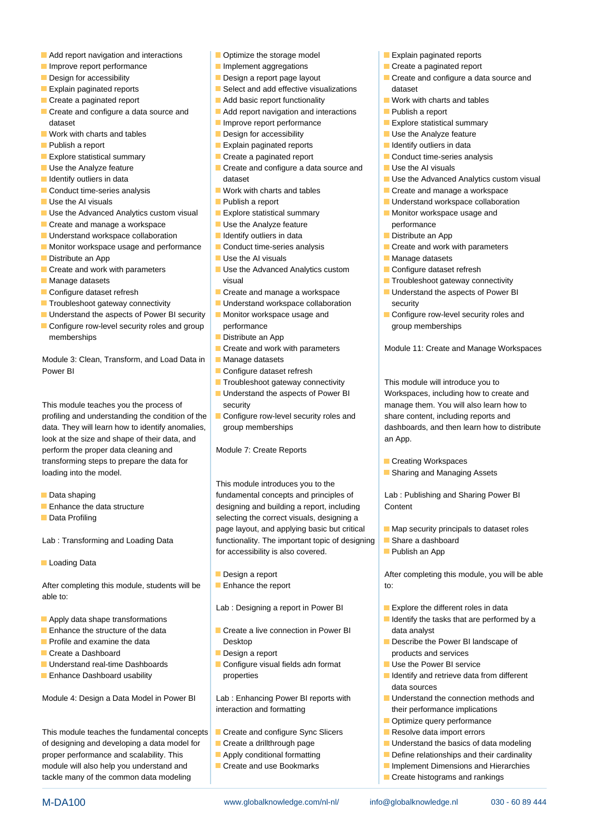- Add report navigation and interactions **Optimize the storage model Container Explain paginated reports**
- Improve report performance **IMPLEM** Implement aggregations **IMPLEM** Create a paginated report
- 
- 
- 
- dataset **Improve report performance Explore statistical summary Explore statistical summary**
- $\blacksquare$  Work with charts and tables  $\blacksquare$  Design for accessibility  $\blacksquare$  Use the Analyze feature
- 
- 
- 
- 
- 
- 
- Use the Advanced Analytics custom visual  $\Box$  Explore statistical summary  $\Box$  Monitor workspace usage and
- $\blacksquare$  Create and manage a workspace  $\blacksquare$  Use the Analyze feature  $\rightharpoonup$  performance
- Understand workspace collaboration Interventify outliers in data Intervention Intervention Intervention Intervention
- $\blacksquare$  Monitor workspace usage and performance  $\blacksquare$  Conduct time-series analysis  $\blacksquare$  Create and work with parameters
- 
- $\blacksquare$  Create and work with parameters  $\blacksquare$  Use the Advanced Analytics custom  $\blacksquare$  Configure dataset refresh
- 
- 
- 
- Understand the aspects of Power BI security Monitor workspace usage and <br>■ Configure row-level security roles and
- Configure row-level security roles and group performance and group memberships memberships **Distribute an App**

Module 3: Clean, Transform, and Load Data in Manage datasets Power BI Configure dataset refresh

This module teaches you the process of security security manage them. You will also learn how to profiling and understanding the condition of the Configure row-level security roles and share content, including reports and data. They will learn how to identify anomalies, group memberships dashboards, and then learn how to distribute look at the size and shape of their data, and an App. **All an App. and an App. an** App. perform the proper data cleaning and Module 7: Create Reports transforming steps to prepare the data for line Creating Workspaces **loading into the model.** Sharing and Managing Assets **Sharing and Managing Assets** 

- 
- 
- 

Loading Data

After completing this module, students will be Enhance the report to: to: able to: line

- $\Box$  Apply data shape transformations  $\Box$  is a state in the Interval  $\Box$  Identify the tasks that are performed by a
- 
- 
- **Design a report products and services Design a report** products and services
- Understand real-time Dashboards Configure visual fields adn format Use the Power BI service
- 

Module 4: Design a Data Model in Power BI Lab : Enhancing Power BI reports with Understand the connection methods and

This module teaches the fundamental concepts **Create and configure Sync Slicers Resolve data import errors** of designing and developing a data model for Create a drillthrough page Understand the basics of data modeling proper performance and scalability. This **Apply conditional formatting Define relationships and their cardinality** module will also help you understand and **Interact in Create and use Bookmarks** Implement Dimensions and Hierarchies tackle many of the common data modeling Create histograms and rankings

- 
- 
- 
- **Explain paginated reports Select and add effective visualizations** dataset
- $\Box$  Create a paginated report  $\Box$  Add basic report functionality  $\Box$  Work with charts and tables
- $\Box$  Create and configure a data source and  $\Box$  Add report navigation and interactions  $\Box$  Publish a report
	-
	-
- **Publish a report Explain paginated reports IDE** Identify outliers in data
	-
- Use the Analyze feature **CREAT ACREATE** Create and configure a data source and USE Use the AI visuals **IDENTIFY IDENTIFY Outliers in data** dataset dataset and use the Advanced Analytics custom visual dataset
	-
	-
	-
	-
	-
	-
	-
- Manage datasets visual visual visual visual visual Troubleshoot gateway connectivity
- Configure dataset refresh Create and manage a workspace Intervention of the aspects of Power BI
- Troubleshoot gateway connectivity Understand workspace collaboration security
	-
	- Create and work with parameters <br>Module 11: Create and Manage Workspaces
	-
	-
	- **If** Troubleshoot gateway connectivity This module will introduce you to
	- Understand the aspects of Power BI Workspaces, including how to create and
	-

This module introduces you to the **Data shaping the state of the state of the state of Lab** : Publishing and Sharing Power BI concepts and principles of Lab : Publishing and Sharing Power BI **Enhance the data structure** designing and building a report, including Content Data Profiling **Selecting the correct visuals**, designing a line Data Profiling page layout, and applying basic but critical  $\Box$  Map security principals to dataset roles Lab : Transforming and Loading Data functionality. The important topic of designing Share a dashboard for accessibility is also covered.  $\blacksquare$  Publish an App

- **Design a report Completing the After completing this module, you will be able**
- 

Lab : Designing a report in Power BI Explore the different roles in data

- **Enhance the structure of the data Create a live connection in Power BI** data analyst **Profile and examine the data** Desktop Desktop Desktop **Desktop Desktop Desktop Desktop Desktop Desktop Desktop Desktop Desktop Desktop Desktop Desktop Desktop Desktop Desktop Desktop Deskto** 
	-
- **Enhance Dashboard usability end on the properties Integral of the Integral of the Identify and retrieve data from different**

interaction and formatting their performance implications

M-DA100 www.globalknowledge.com/nl-nl/ info@globalknowledge.nl 030 - 60 89 444

- 
- 
- 
- 
- 
- Design for accessibility **Design a report page layout Design a report page layout** Create and configure a data source and
	-
	-
	-
	-
	-
- Explore statistical summary **CREAT EXPLORED EXPLORED EXPLORED EXPLORED EXPLORED EXPLORED EXPLORED EXPLORED EXPLORED EXPLORED EXPLORED EXPLORED EXPLORED EXPLORED EXPLORED EXPLORED EXPLORED EXPLORED EXPLORED EXPLORED EXPLORE** 
	-
	-
- Conduct time-series analysis North Work with charts and tables North Create and manage a workspace
- Use the AI visuals Publish a report Publish a report Publish a report Publish a report Publish a report Publish a report Publish a report Publish a report Publish a report Publish a report Publish a report Publish a rep
	-
	-
	-
- Distribute an App Nation National Manage datasets National Manage datasets National Manage datasets

data sources

 $\blacksquare$  Optimize query performance

- 
-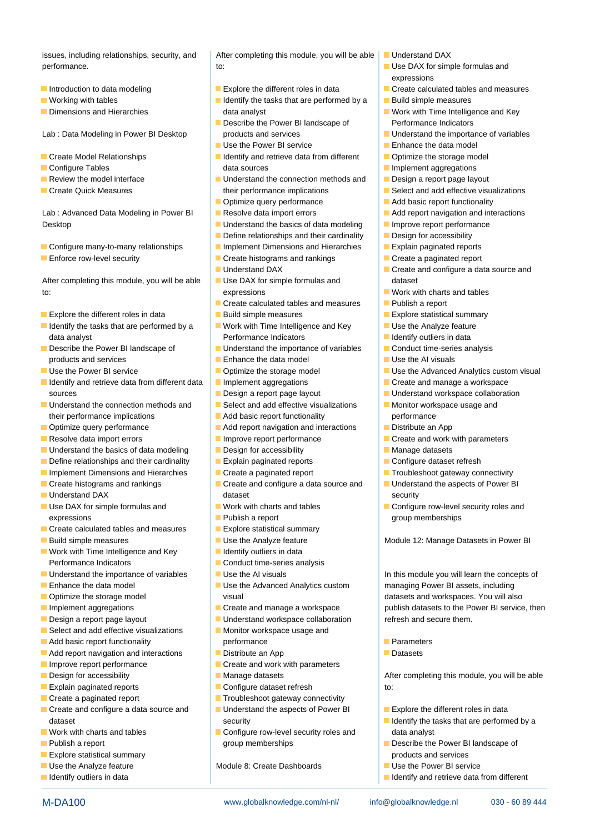performance. The contract of the contract of the contract of the Use DAX for simple formulas and

- 
- 
- 

- 
- 
- 
- 

Lab : Advanced Data Modeling in Power BI Resolve data import errors **Addem Add report navigation and interactions** Desktop **IMPROVERSIZED Understand the basics of data modeling Improve report performance** 

- 
- 

After completing this module, you will be able  $\Box$  Use DAX for simple formulas and dataset to: to: the expressions the expressions of the expressions of the expressions of the expressions of the expressions of the expressions of the expressions of the expressions of the expressions of the expressions of the expr

- 
- I Identify the tasks that are performed by a  $\Box$  Work with Time Intelligence and Key  $\Box$  Use the Analyze feature data analyst **Performance Indicators Indicators Indicators Indicators Indicators Indicators Indicators Indicators Indicators Indicators Indicators Indicators Indicators Indicators Indicators I**
- products and services **Enhance the data model** Enhance the data model Use the AI visuals
- 
- I Identify and retrieve data from different data I Implement aggregations **I** Create and manage a workspace sources **Design a report page layout** Design a report page layout **Understand workspace collaboration**
- $\Box$  Understand the connection methods and  $\Box$  Select and add effective visualizations  $\Box$  Monitor workspace usage and their performance implications **Add basic report functionality** performance
- Distribute query performance Add report navigation and interactions Distribute an App
- Resolve data import errors **IMPROVE THE IMPROVE REPORT PERFORM** Create and work with parameters
- $\blacksquare$  Understand the basics of data modeling  $\blacksquare$  Design for accessibility  $\blacksquare$  Manage datasets
- Define relationships and their cardinality Explain paginated reports **Explain** Configure dataset refresh
- Implement Dimensions and Hierarchies **Create a paginated report** Troubleshoot gateway connectivity
- 
- 
- Use DAX for simple formulas and Work with charts and tables Configure row-level security roles and expressions **Publish a report** group memberships a report group memberships
- Create calculated tables and measures <br>■ Explore statistical summary
- 

■ Work with Time Intelligence and Key **If All and I**dentify outliers in data Performance Indicators **Conduct time-series analysis** 

- Understand the importance of variables Intervalse the AI visuals In this module you will learn the concepts of
- 
- 
- 
- 
- $\blacksquare$  Select and add effective visualizations  $\blacksquare$  Monitor workspace usage and
- 
- **Add report navigation and interactions** Distribute an App **Distribute and App** Datasets
- 
- **Design for accessibility Manage datasets After completing this module, you will be able**
- **Explain paginated reports** Configure dataset refresh to:
- 
- dataset security security security and the tasks that are performed by a latentify the tasks that are performed by a
- 
- 
- **Explore statistical summary products and services products and services**
- 
- **IDENTIFY IDENTIFY ACCORDING TO A LINE IDENTIFY AND RETRIEVE OUTSIDE IDENTIFY AND RETRIEVE OUTSIDE IN A LINE IDENTIFY AND THE IDENTIFY AND THE IDENTIFY AND THE IDENTIFY AND THE INCOMETY AND THE INCOMETY AND THE INCOMETY AN**

issues, including relationships, security, and  $\blacksquare$  After completing this module, you will be able  $\blacksquare$  Understand DAX

- 
- **IDENTIFY IDENTIFY IDENTIFY** Identify the tasks that are performed by a **IDENTIFY DEGISHERE** Build simple measures ■ Dimensions and Hierarchies example and data analyst Work with Time Intelligence and Key
- Describe the Power BI landscape of Performance Indicators Lab : Data Modeling in Power BI Desktop products and services **Understand the importance of variables** 
	- Use the Power BI service  $\Box$  Enhance the data model
- **Exercise** Create Model Relationships **IDENTIFY IDENTIFY** Interversion of the storage model **IDENTIFY** Create Model Relationships ■ Configure Tables **Implement aggregations** data sources **Implement aggregations**
- **Review the model interface State Law Accord Connection methods and Design a report page layout** ■ Create Quick Measures Their performance implications Select and add effective visualizations
	- Optimize query performance Add basic report functionality
	-
	-
	- Define relationships and their cardinality  $\Box$  Design for accessibility
- Configure many-to-many relationships Implement Dimensions and Hierarchies Explain paginated reports
- **Enforce row-level security** Create instograms and rankings **Create a paginated report** 
	- Understand DAX **Create and configure a data source and**
	-
- **Create calculated tables and measures** Publish a report Explore the different roles in data  $\Box$  Build simple measures  $\Box$  Explore statistical summary
	-
- Describe the Power BI landscape of Understand the importance of variables Conduct time-series analysis
	-
- Use the Power BI service **Optimize the storage model** Use the Advanced Analytics custom visual
	-
	-
	-
	-
	-
	-
	-
	-
	-
- Create histograms and rankings **Create and configure a data source and Understand the aspects of Power BI Understand DAX** dataset security of the security of the security of the security of the security of the security
	-
	-
	-
- Build simple measures <br>■ Use the Analyze feature Module 12: Manage Datasets in Power BI
	-
	-
	-
- **Enhance the data model End Conservation Conservation Conservation Conservation Conservation Conservation Conservation Conservation Conservation Conservation Conservation Conservation Conservation Conservation Conservation Optimize the storage model visual visual visual datasets and workspaces. You will also continue to the storage model**
- Implement aggregations **CREAT ACCREATE:** Create and manage a workspace publish datasets to the Power BI service, then
- Design a report page layout **Understand workspace collaboration** refresh and secure them.
- **Add basic report functionality** entertainment performance **Parameters** 
	-
- $\Box$  Improve report performance  $\Box$   $\Box$  Create and work with parameters
	-
	-
- Create a paginated report **Troubleshoot gateway connectivity**
- Create and configure a data source and Understand the aspects of Power BI Explore the different roles in data
- $\Box$  Work with charts and tables  $\Box$  Configure row-level security roles and  $\Box$  data analyst **Publish a report Example 19 and SCS** of the Power BI landscape of **Publish a report** of the Power BI landscape of

M-DA100 www.globalknowledge.com/nl-nl/ info@globalknowledge.nl 030 - 60 89 444

Use the Analyze feature Module 8: Create Dashboards Use the Power BI service

- 
- line line expressions
- Introduction to data modeling The Explore the different roles in data Create calculated tables and measures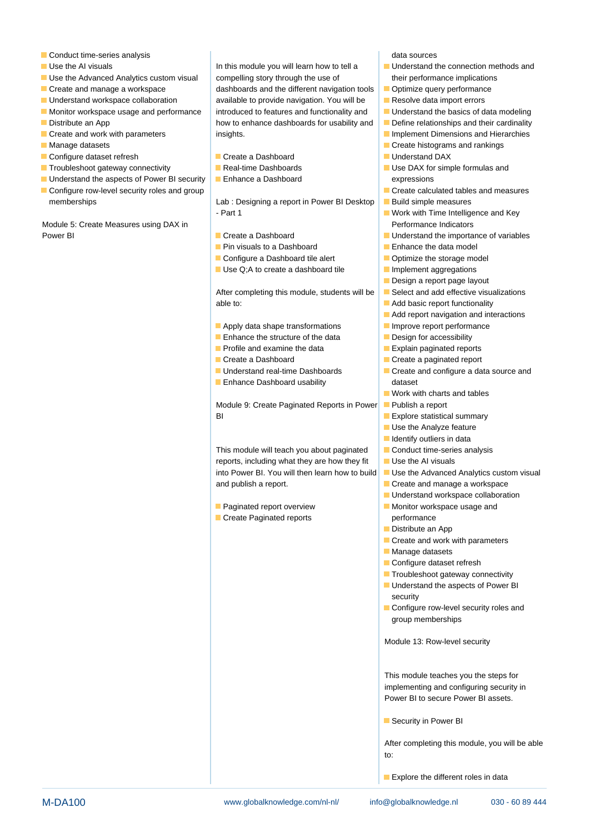- **Conduct time-series analysis** data sources analysis data sources
- 
- 
- 
- 
- $\blacksquare$  Monitor workspace usage and performance  $\vert$  introduced to features and functionality and  $\vert$   $\blacksquare$  Understand the basics of data modeling
- 
- 
- 
- Configure dataset refresh Create a Dashboard Note and Data Note a Dashboard Note a Understand DAX
- 
- Configure row-level security roles and group Create calculated tables and measures memberships The Lab : Designing a report in Power BI Desktop **Build simple measures**

Module 5: Create Measures using DAX in line Performance Indicators and Performance Indicators Power BI Create a Dashboard Understand the importance of variables

Use the AI visuals In this module you will learn how to tell a Understand the connection methods and Use the Advanced Analytics custom visual compelling story through the use of their performance implications  $\blacksquare$  Create and manage a workspace dashboards and the different navigation tools  $\blacksquare$  Optimize query performance  $\blacksquare$  Understand workspace collaboration  $\blacksquare$  available to provide navigation. You will be  $\blacksquare$  Resolve data import errors Distribute an App **Distribute an App** how to enhance dashboards for usability and **Define relationships and their cardinality Create and work with parameters** insights. Insights. In the state of  $\blacksquare$  Implement Dimensions and Hierarchies

- 
- 
- $\blacksquare$  Understand the aspects of Power BI security  $\blacksquare$  Enhance a Dashboard expressions

- Part 1 More 1 and 1 Work with Time Intelligence and Key

- 
- **Pin visuals to a Dashboard Enhance the data model**
- Configure a Dashboard tile alert **Department Configure** a Dashboard tile alert
- Use Q;A to create a dashboard tile Implement aggregations

After completing this module, students will be  $\Box$  Select and add effective visualizations able to: able to: Add basic report functionality

- Apply data shape transformations  $\blacksquare$  Improve report performance
- Enhance the structure of the data  $\Box$  Design for accessibility
- 
- 
- 
- **Enhance Dashboard usability** and ataset

Module 9: Create Paginated Reports in Power Publish a report **BI** Explore statistical summary

This module will teach you about paginated  $\Box$  Conduct time-series analysis reports, including what they are how they fit  $\Box$  Use the AI visuals into Power BI. You will then learn how to build  $\Box$  Use the Advanced Analytics custom visual and publish a report. The create and manage a workspace

Create Paginated reports **performance** 

- 
- 
- 
- 
- 
- 
- Manage datasets line Create histograms and rankings and rankings and rankings and rankings and rankings and rankings and rankings and rankings and rankings and rankings and rankings and rankings and rankings and ranking
	-
- Troubleshoot gateway connectivity Real-time Dashboards I Use DAX for simple formulas and
	-
	-
	-
	-
	-
	-
	-
	- Design a report page layout
	-
	-
	- $\blacksquare$  Add report navigation and interactions
	-
	-
	- **Profile and examine the data** Explain paginated reports
	- Create a Dashboard Create a paginated report
	- Understand real-time Dashboards Create and configure a data source and
		- **Work with charts and tables**
		-
		-
		- $\blacksquare$  Use the Analyze feature
		- **I**I Identify outliers in data
		-
		-
		-
		-
		- $\blacksquare$  Understand workspace collaboration
	- **Paginated report overview Monitor workspace usage and** 
		- Distribute an App
		- Create and work with parameters
		- **Manage datasets**
		- Configure dataset refresh
		- **Troubleshoot gateway connectivity**
		- **Understand the aspects of Power BI** security
		- Configure row-level security roles and group memberships

Module 13: Row-level security

This module teaches you the steps for implementing and configuring security in Power BI to secure Power BI assets.

**Security in Power BI** 

After completing this module, you will be able to:

**Explore the different roles in data**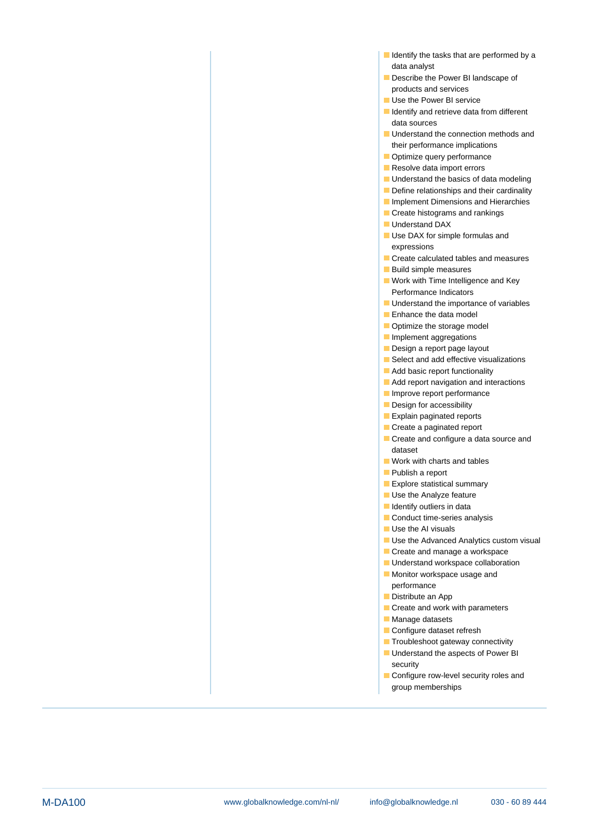- I Identify the tasks that are performed by a data analyst
- Describe the Power BI landscape of products and services
- Use the Power BI service
- I Identify and retrieve data from different data sources
- **Understand the connection methods and** their performance implications
- Optimize query performance
- Resolve data import errors
- **Understand the basics of data modeling**
- Define relationships and their cardinality
- **Implement Dimensions and Hierarchies**
- Create histograms and rankings
- **Understand DAX**
- Use DAX for simple formulas and expressions
- Create calculated tables and measures
- Build simple measures
- **Work with Time Intelligence and Key** Performance Indicators
- **Understand the importance of variables**
- **Enhance the data model**
- Optimize the storage model
- Implement aggregations
- Design a report page layout
- Select and add effective visualizations
- Add basic report functionality
- **Add report navigation and interactions**
- Improve report performance
- Design for accessibility
- Explain paginated reports
- Create a paginated report
- Create and configure a data source and dataset
- **Work with charts and tables**
- **Publish a report**
- **Explore statistical summary**
- Use the Analyze feature
- **I**I Identify outliers in data
- Conduct time-series analysis
- Use the AI visuals
- Use the Advanced Analytics custom visual
- Create and manage a workspace
- **Understand workspace collaboration**
- **Monitor workspace usage and** performance
- **Distribute an App**
- Create and work with parameters
- **Manage datasets**
- Configure dataset refresh
- **Troubleshoot gateway connectivity**
- **Understand the aspects of Power BI** security
- Configure row-level security roles and group memberships